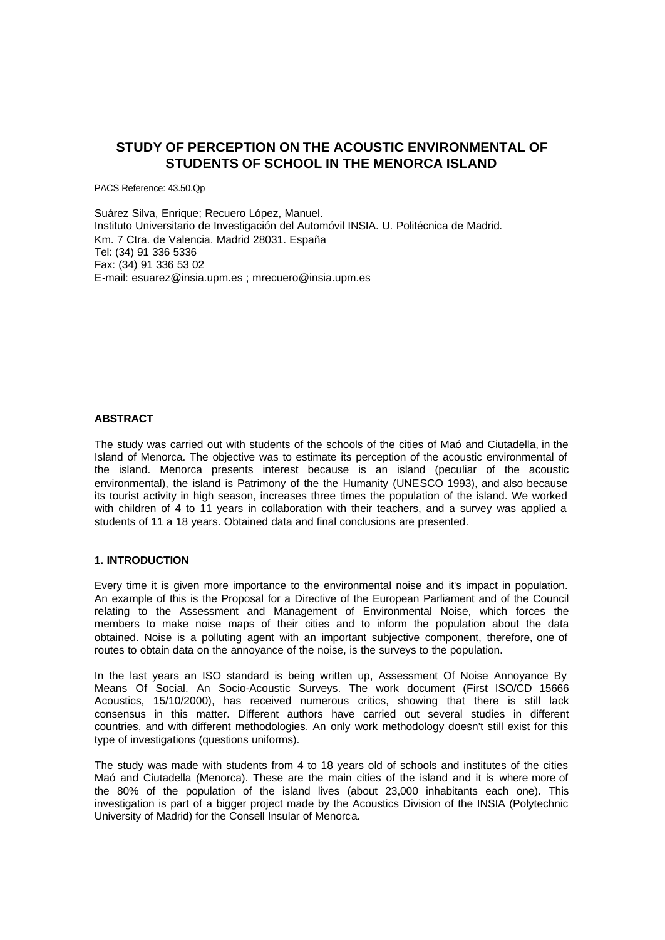# **STUDY OF PERCEPTION ON THE ACOUSTIC ENVIRONMENTAL OF STUDENTS OF SCHOOL IN THE MENORCA ISLAND**

PACS Reference: 43.50.Qp

Suárez Silva, Enrique; Recuero López, Manuel. Instituto Universitario de Investigación del Automóvil INSIA. U. Politécnica de Madrid. Km. 7 Ctra. de Valencia. Madrid 28031. España Tel: (34) 91 336 5336 Fax: (34) 91 336 53 02 E-mail: esuarez@insia.upm.es ; mrecuero@insia.upm.es

## **ABSTRACT**

The study was carried out with students of the schools of the cities of Maó and Ciutadella, in the Island of Menorca. The objective was to estimate its perception of the acoustic environmental of the island. Menorca presents interest because is an island (peculiar of the acoustic environmental), the island is Patrimony of the the Humanity (UNESCO 1993), and also because its tourist activity in high season, increases three times the population of the island. We worked with children of 4 to 11 years in collaboration with their teachers, and a survey was applied a students of 11 a 18 years. Obtained data and final conclusions are presented.

#### **1. INTRODUCTION**

Every time it is given more importance to the environmental noise and it's impact in population. An example of this is the Proposal for a Directive of the European Parliament and of the Council relating to the Assessment and Management of Environmental Noise, which forces the members to make noise maps of their cities and to inform the population about the data obtained. Noise is a polluting agent with an important subjective component, therefore, one of routes to obtain data on the annoyance of the noise, is the surveys to the population.

In the last years an ISO standard is being written up, Assessment Of Noise Annoyance By Means Of Social. An Socio-Acoustic Surveys. The work document (First ISO/CD 15666 Acoustics, 15/10/2000), has received numerous critics, showing that there is still lack consensus in this matter. Different authors have carried out several studies in different countries, and with different methodologies. An only work methodology doesn't still exist for this type of investigations (questions uniforms).

The study was made with students from 4 to 18 years old of schools and institutes of the cities Maó and Ciutadella (Menorca). These are the main cities of the island and it is where more of the 80% of the population of the island lives (about 23,000 inhabitants each one). This investigation is part of a bigger project made by the Acoustics Division of the INSIA (Polytechnic University of Madrid) for the Consell Insular of Menorca.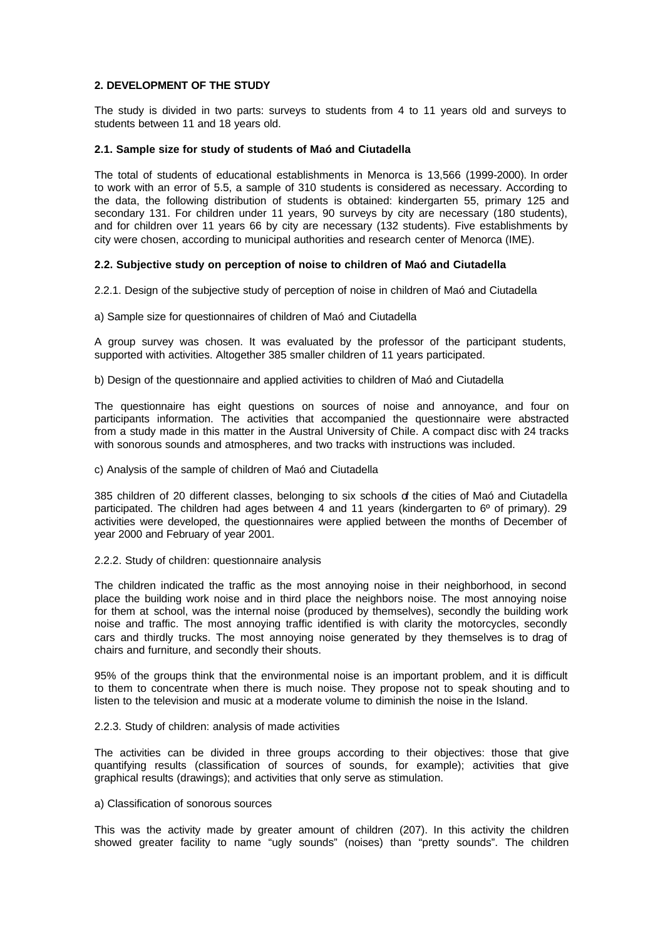## **2. DEVELOPMENT OF THE STUDY**

The study is divided in two parts: surveys to students from 4 to 11 years old and surveys to students between 11 and 18 years old.

#### **2.1. Sample size for study of students of Maó and Ciutadella**

The total of students of educational establishments in Menorca is 13,566 (1999-2000). In order to work with an error of 5.5, a sample of 310 students is considered as necessary. According to the data, the following distribution of students is obtained: kindergarten 55, primary 125 and secondary 131. For children under 11 years, 90 surveys by city are necessary (180 students), and for children over 11 years 66 by city are necessary (132 students). Five establishments by city were chosen, according to municipal authorities and research center of Menorca (IME).

### **2.2. Subjective study on perception of noise to children of Maó and Ciutadella**

2.2.1. Design of the subjective study of perception of noise in children of Maó and Ciutadella

a) Sample size for questionnaires of children of Maó and Ciutadella

A group survey was chosen. It was evaluated by the professor of the participant students, supported with activities. Altogether 385 smaller children of 11 years participated.

b) Design of the questionnaire and applied activities to children of Maó and Ciutadella

The questionnaire has eight questions on sources of noise and annoyance, and four on participants information. The activities that accompanied the questionnaire were abstracted from a study made in this matter in the Austral University of Chile. A compact disc with 24 tracks with sonorous sounds and atmospheres, and two tracks with instructions was included.

#### c) Analysis of the sample of children of Maó and Ciutadella

385 children of 20 different classes, belonging to six schools of the cities of Maó and Ciutadella participated. The children had ages between 4 and 11 years (kindergarten to  $6^{\circ}$  of primary). 29 activities were developed, the questionnaires were applied between the months of December of year 2000 and February of year 2001.

2.2.2. Study of children: questionnaire analysis

The children indicated the traffic as the most annoying noise in their neighborhood, in second place the building work noise and in third place the neighbors noise. The most annoying noise for them at school, was the internal noise (produced by themselves), secondly the building work noise and traffic. The most annoying traffic identified is with clarity the motorcycles, secondly cars and thirdly trucks. The most annoying noise generated by they themselves is to drag of chairs and furniture, and secondly their shouts.

95% of the groups think that the environmental noise is an important problem, and it is difficult to them to concentrate when there is much noise. They propose not to speak shouting and to listen to the television and music at a moderate volume to diminish the noise in the Island.

### 2.2.3. Study of children: analysis of made activities

The activities can be divided in three groups according to their objectives: those that give quantifying results (classification of sources of sounds, for example); activities that give graphical results (drawings); and activities that only serve as stimulation.

### a) Classification of sonorous sources

This was the activity made by greater amount of children (207). In this activity the children showed greater facility to name "ugly sounds" (noises) than "pretty sounds". The children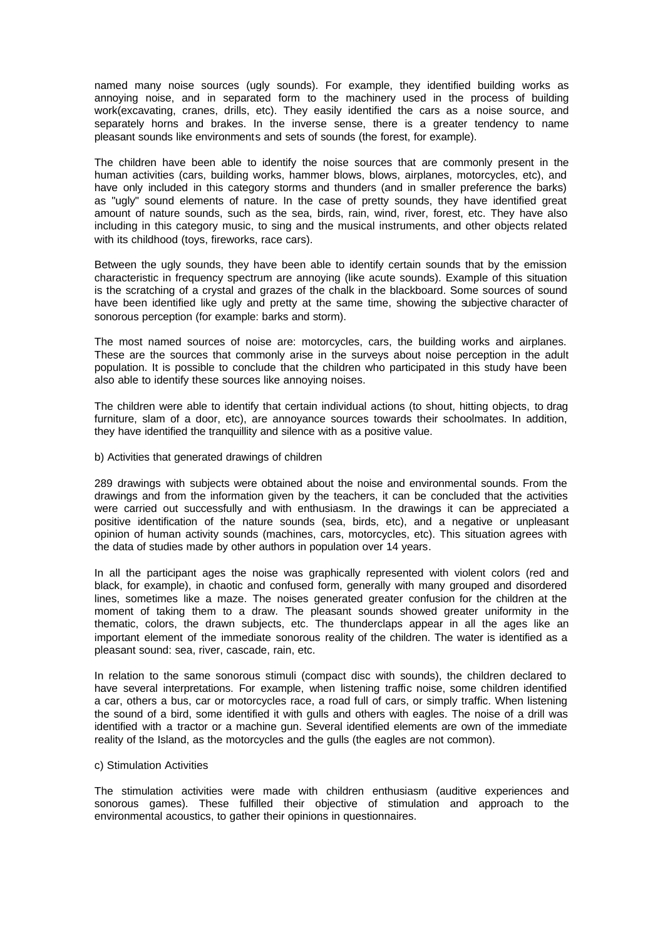named many noise sources (ugly sounds). For example, they identified building works as annoying noise, and in separated form to the machinery used in the process of building work(excavating, cranes, drills, etc). They easily identified the cars as a noise source, and separately horns and brakes. In the inverse sense, there is a greater tendency to name pleasant sounds like environments and sets of sounds (the forest, for example).

The children have been able to identify the noise sources that are commonly present in the human activities (cars, building works, hammer blows, blows, airplanes, motorcycles, etc), and have only included in this category storms and thunders (and in smaller preference the barks) as "ugly" sound elements of nature. In the case of pretty sounds, they have identified great amount of nature sounds, such as the sea, birds, rain, wind, river, forest, etc. They have also including in this category music, to sing and the musical instruments, and other objects related with its childhood (toys, fireworks, race cars).

Between the ugly sounds, they have been able to identify certain sounds that by the emission characteristic in frequency spectrum are annoying (like acute sounds). Example of this situation is the scratching of a crystal and grazes of the chalk in the blackboard. Some sources of sound have been identified like ugly and pretty at the same time, showing the subjective character of sonorous perception (for example: barks and storm).

The most named sources of noise are: motorcycles, cars, the building works and airplanes. These are the sources that commonly arise in the surveys about noise perception in the adult population. It is possible to conclude that the children who participated in this study have been also able to identify these sources like annoying noises.

The children were able to identify that certain individual actions (to shout, hitting objects, to drag furniture, slam of a door, etc), are annoyance sources towards their schoolmates. In addition, they have identified the tranquillity and silence with as a positive value.

b) Activities that generated drawings of children

289 drawings with subjects were obtained about the noise and environmental sounds. From the drawings and from the information given by the teachers, it can be concluded that the activities were carried out successfully and with enthusiasm. In the drawings it can be appreciated a positive identification of the nature sounds (sea, birds, etc), and a negative or unpleasant opinion of human activity sounds (machines, cars, motorcycles, etc). This situation agrees with the data of studies made by other authors in population over 14 years.

In all the participant ages the noise was graphically represented with violent colors (red and black, for example), in chaotic and confused form, generally with many grouped and disordered lines, sometimes like a maze. The noises generated greater confusion for the children at the moment of taking them to a draw. The pleasant sounds showed greater uniformity in the thematic, colors, the drawn subjects, etc. The thunderclaps appear in all the ages like an important element of the immediate sonorous reality of the children. The water is identified as a pleasant sound: sea, river, cascade, rain, etc.

In relation to the same sonorous stimuli (compact disc with sounds), the children declared to have several interpretations. For example, when listening traffic noise, some children identified a car, others a bus, car or motorcycles race, a road full of cars, or simply traffic. When listening the sound of a bird, some identified it with gulls and others with eagles. The noise of a drill was identified with a tractor or a machine gun. Several identified elements are own of the immediate reality of the Island, as the motorcycles and the gulls (the eagles are not common).

### c) Stimulation Activities

The stimulation activities were made with children enthusiasm (auditive experiences and sonorous games). These fulfilled their objective of stimulation and approach to the environmental acoustics, to gather their opinions in questionnaires.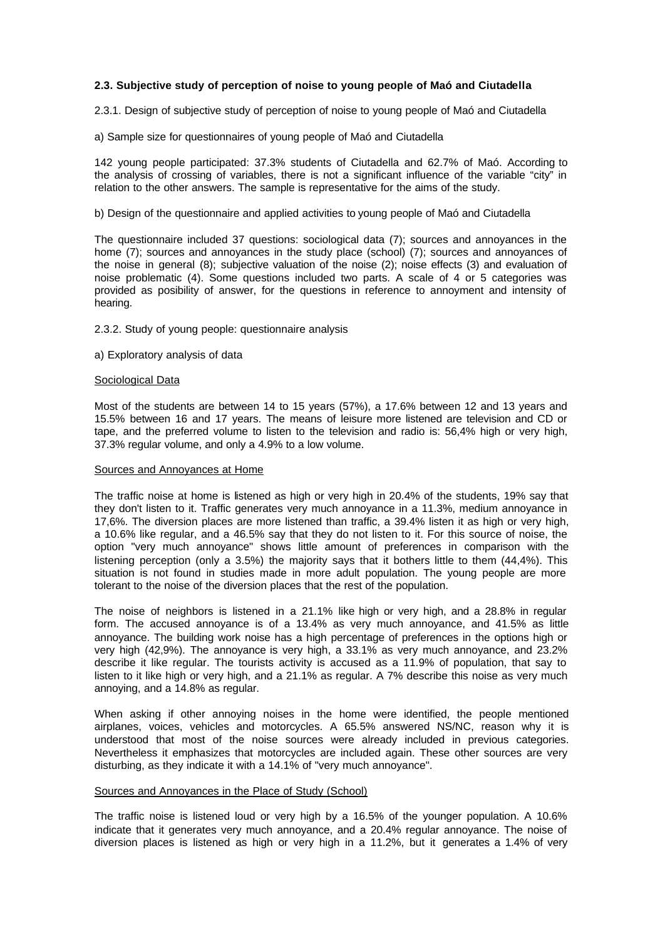## **2.3. Subjective study of perception of noise to young people of Maó and Ciutadella**

2.3.1. Design of subjective study of perception of noise to young people of Maó and Ciutadella

a) Sample size for questionnaires of young people of Maó and Ciutadella

142 young people participated: 37.3% students of Ciutadella and 62.7% of Maó. According to the analysis of crossing of variables, there is not a significant influence of the variable "city" in relation to the other answers. The sample is representative for the aims of the study.

#### b) Design of the questionnaire and applied activities to young people of Maó and Ciutadella

The questionnaire included 37 questions: sociological data (7); sources and annoyances in the home (7); sources and annoyances in the study place (school) (7); sources and annoyances of the noise in general (8); subjective valuation of the noise (2); noise effects (3) and evaluation of noise problematic (4). Some questions included two parts. A scale of 4 or 5 categories was provided as posibility of answer, for the questions in reference to annoyment and intensity of hearing.

2.3.2. Study of young people: questionnaire analysis

a) Exploratory analysis of data

#### Sociological Data

Most of the students are between 14 to 15 years (57%), a 17.6% between 12 and 13 years and 15.5% between 16 and 17 years. The means of leisure more listened are television and CD or tape, and the preferred volume to listen to the television and radio is: 56,4% high or very high, 37.3% regular volume, and only a 4.9% to a low volume.

#### Sources and Annoyances at Home

The traffic noise at home is listened as high or very high in 20.4% of the students, 19% say that they don't listen to it. Traffic generates very much annoyance in a 11.3%, medium annoyance in 17,6%. The diversion places are more listened than traffic, a 39.4% listen it as high or very high, a 10.6% like regular, and a 46.5% say that they do not listen to it. For this source of noise, the option "very much annoyance" shows little amount of preferences in comparison with the listening perception (only a 3.5%) the majority says that it bothers little to them (44,4%). This situation is not found in studies made in more adult population. The young people are more tolerant to the noise of the diversion places that the rest of the population.

The noise of neighbors is listened in a 21.1% like high or very high, and a 28.8% in regular form. The accused annoyance is of a 13.4% as very much annoyance, and 41.5% as little annoyance. The building work noise has a high percentage of preferences in the options high or very high (42,9%). The annoyance is very high, a 33.1% as very much annoyance, and 23.2% describe it like regular. The tourists activity is accused as a 11.9% of population, that say to listen to it like high or very high, and a 21.1% as regular. A 7% describe this noise as very much annoying, and a 14.8% as regular.

When asking if other annoying noises in the home were identified, the people mentioned airplanes, voices, vehicles and motorcycles. A 65.5% answered NS/NC, reason why it is understood that most of the noise sources were already included in previous categories. Nevertheless it emphasizes that motorcycles are included again. These other sources are very disturbing, as they indicate it with a 14.1% of "very much annoyance".

#### Sources and Annoyances in the Place of Study (School)

The traffic noise is listened loud or very high by a 16.5% of the younger population. A 10.6% indicate that it generates very much annoyance, and a 20.4% regular annoyance. The noise of diversion places is listened as high or very high in a 11.2%, but it generates a 1.4% of very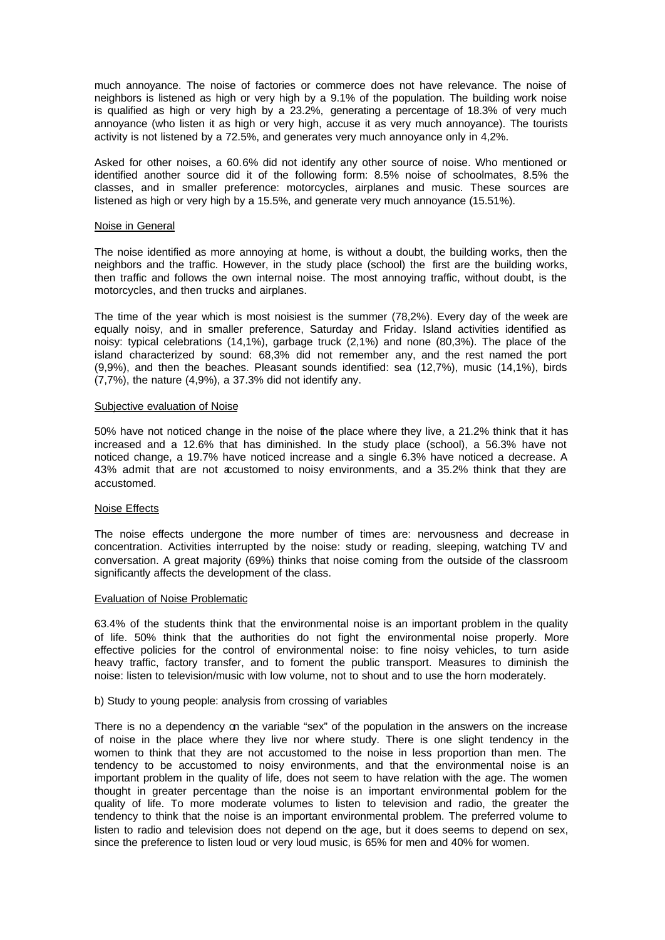much annoyance. The noise of factories or commerce does not have relevance. The noise of neighbors is listened as high or very high by a 9.1% of the population. The building work noise is qualified as high or very high by a 23.2%, generating a percentage of 18.3% of very much annoyance (who listen it as high or very high, accuse it as very much annoyance). The tourists activity is not listened by a 72.5%, and generates very much annoyance only in 4,2%.

Asked for other noises, a 60.6% did not identify any other source of noise. Who mentioned or identified another source did it of the following form: 8.5% noise of schoolmates, 8.5% the classes, and in smaller preference: motorcycles, airplanes and music. These sources are listened as high or very high by a 15.5%, and generate very much annoyance (15.51%).

#### Noise in General

The noise identified as more annoying at home, is without a doubt, the building works, then the neighbors and the traffic. However, in the study place (school) the first are the building works, then traffic and follows the own internal noise. The most annoying traffic, without doubt, is the motorcycles, and then trucks and airplanes.

The time of the year which is most noisiest is the summer (78,2%). Every day of the week are equally noisy, and in smaller preference, Saturday and Friday. Island activities identified as noisy: typical celebrations (14,1%), garbage truck (2,1%) and none (80,3%). The place of the island characterized by sound: 68,3% did not remember any, and the rest named the port (9,9%), and then the beaches. Pleasant sounds identified: sea (12,7%), music (14,1%), birds (7,7%), the nature (4,9%), a 37.3% did not identify any.

#### Subjective evaluation of Noise

50% have not noticed change in the noise of the place where they live, a 21.2% think that it has increased and a 12.6% that has diminished. In the study place (school), a 56.3% have not noticed change, a 19.7% have noticed increase and a single 6.3% have noticed a decrease. A 43% admit that are not accustomed to noisy environments, and a 35.2% think that they are accustomed.

## Noise Effects

The noise effects undergone the more number of times are: nervousness and decrease in concentration. Activities interrupted by the noise: study or reading, sleeping, watching TV and conversation. A great majority (69%) thinks that noise coming from the outside of the classroom significantly affects the development of the class.

#### Evaluation of Noise Problematic

63.4% of the students think that the environmental noise is an important problem in the quality of life. 50% think that the authorities do not fight the environmental noise properly. More effective policies for the control of environmental noise: to fine noisy vehicles, to turn aside heavy traffic, factory transfer, and to foment the public transport. Measures to diminish the noise: listen to television/music with low volume, not to shout and to use the horn moderately.

#### b) Study to young people: analysis from crossing of variables

There is no a dependency on the variable "sex" of the population in the answers on the increase of noise in the place where they live nor where study. There is one slight tendency in the women to think that they are not accustomed to the noise in less proportion than men. The tendency to be accustomed to noisy environments, and that the environmental noise is an important problem in the quality of life, does not seem to have relation with the age. The women thought in greater percentage than the noise is an important environmental problem for the quality of life. To more moderate volumes to listen to television and radio, the greater the tendency to think that the noise is an important environmental problem. The preferred volume to listen to radio and television does not depend on the age, but it does seems to depend on sex, since the preference to listen loud or very loud music, is 65% for men and 40% for women.